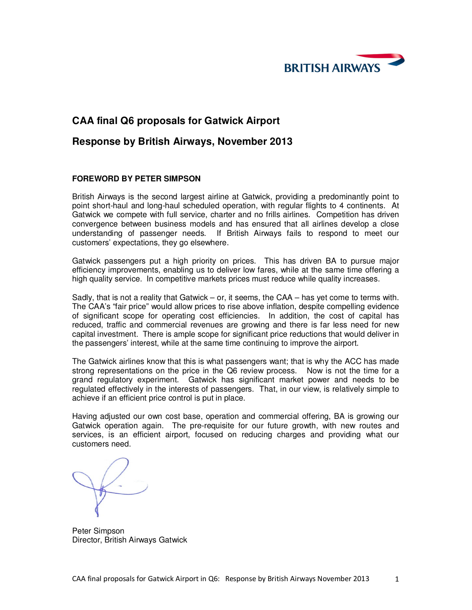

## **CAA final Q6 proposals for Gatwick Airport**

## **Response by British Airways, November 2013**

## **FOREWORD BY PETER SIMPSON**

British Airways is the second largest airline at Gatwick, providing a predominantly point to point short-haul and long-haul scheduled operation, with regular flights to 4 continents. At Gatwick we compete with full service, charter and no frills airlines. Competition has driven convergence between business models and has ensured that all airlines develop a close understanding of passenger needs. If British Airways fails to respond to meet our customers' expectations, they go elsewhere.

Gatwick passengers put a high priority on prices. This has driven BA to pursue major efficiency improvements, enabling us to deliver low fares, while at the same time offering a high quality service. In competitive markets prices must reduce while quality increases.

Sadly, that is not a reality that Gatwick – or, it seems, the CAA – has yet come to terms with. The CAA's "fair price" would allow prices to rise above inflation, despite compelling evidence of significant scope for operating cost efficiencies. In addition, the cost of capital has reduced, traffic and commercial revenues are growing and there is far less need for new capital investment. There is ample scope for significant price reductions that would deliver in the passengers' interest, while at the same time continuing to improve the airport.

The Gatwick airlines know that this is what passengers want; that is why the ACC has made strong representations on the price in the Q6 review process. Now is not the time for a grand regulatory experiment. Gatwick has significant market power and needs to be regulated effectively in the interests of passengers. That, in our view, is relatively simple to achieve if an efficient price control is put in place.

Having adjusted our own cost base, operation and commercial offering, BA is growing our Gatwick operation again. The pre-requisite for our future growth, with new routes and services, is an efficient airport, focused on reducing charges and providing what our customers need.

Peter Simpson Director, British Airways Gatwick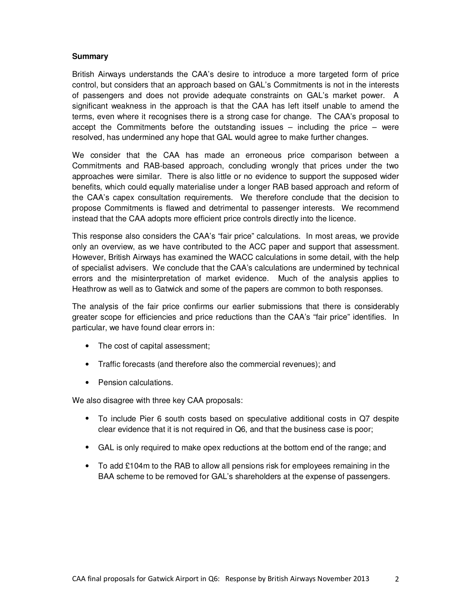#### **Summary**

British Airways understands the CAA's desire to introduce a more targeted form of price control, but considers that an approach based on GAL's Commitments is not in the interests of passengers and does not provide adequate constraints on GAL's market power. A significant weakness in the approach is that the CAA has left itself unable to amend the terms, even where it recognises there is a strong case for change. The CAA's proposal to accept the Commitments before the outstanding issues – including the price – were resolved, has undermined any hope that GAL would agree to make further changes.

We consider that the CAA has made an erroneous price comparison between a Commitments and RAB-based approach, concluding wrongly that prices under the two approaches were similar. There is also little or no evidence to support the supposed wider benefits, which could equally materialise under a longer RAB based approach and reform of the CAA's capex consultation requirements. We therefore conclude that the decision to propose Commitments is flawed and detrimental to passenger interests. We recommend instead that the CAA adopts more efficient price controls directly into the licence.

This response also considers the CAA's "fair price" calculations. In most areas, we provide only an overview, as we have contributed to the ACC paper and support that assessment. However, British Airways has examined the WACC calculations in some detail, with the help of specialist advisers. We conclude that the CAA's calculations are undermined by technical errors and the misinterpretation of market evidence. Much of the analysis applies to Heathrow as well as to Gatwick and some of the papers are common to both responses.

The analysis of the fair price confirms our earlier submissions that there is considerably greater scope for efficiencies and price reductions than the CAA's "fair price" identifies. In particular, we have found clear errors in:

- The cost of capital assessment;
- Traffic forecasts (and therefore also the commercial revenues); and
- Pension calculations.

We also disagree with three key CAA proposals:

- To include Pier 6 south costs based on speculative additional costs in Q7 despite clear evidence that it is not required in Q6, and that the business case is poor;
- GAL is only required to make opex reductions at the bottom end of the range; and
- To add £104m to the RAB to allow all pensions risk for employees remaining in the BAA scheme to be removed for GAL's shareholders at the expense of passengers.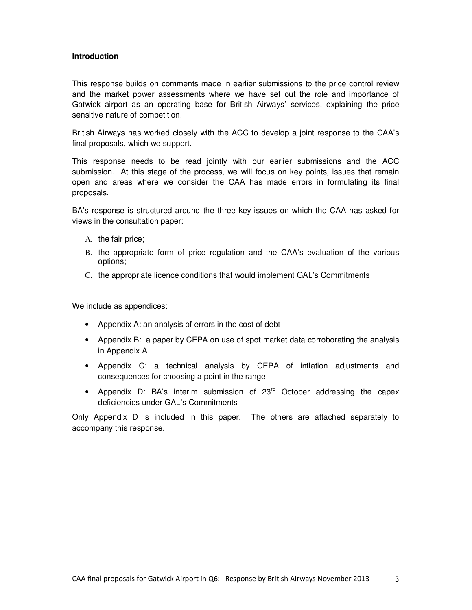#### **Introduction**

This response builds on comments made in earlier submissions to the price control review and the market power assessments where we have set out the role and importance of Gatwick airport as an operating base for British Airways' services, explaining the price sensitive nature of competition.

British Airways has worked closely with the ACC to develop a joint response to the CAA's final proposals, which we support.

This response needs to be read jointly with our earlier submissions and the ACC submission. At this stage of the process, we will focus on key points, issues that remain open and areas where we consider the CAA has made errors in formulating its final proposals.

BA's response is structured around the three key issues on which the CAA has asked for views in the consultation paper:

- A. the fair price;
- B. the appropriate form of price regulation and the CAA's evaluation of the various options;
- C. the appropriate licence conditions that would implement GAL's Commitments

We include as appendices:

- Appendix A: an analysis of errors in the cost of debt
- Appendix B: a paper by CEPA on use of spot market data corroborating the analysis in Appendix A
- Appendix C: a technical analysis by CEPA of inflation adjustments and consequences for choosing a point in the range
- Appendix D: BA's interim submission of  $23<sup>rd</sup>$  October addressing the capex deficiencies under GAL's Commitments

Only Appendix D is included in this paper. The others are attached separately to accompany this response.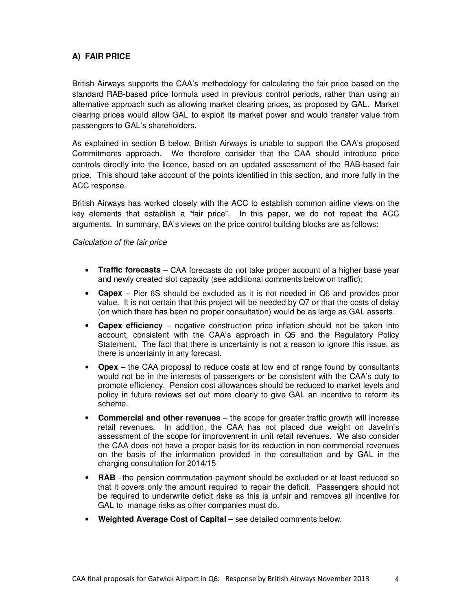## **A) FAIR PRICE**

British Airways supports the CAA's methodology for calculating the fair price based on the standard RAB-based price formula used in previous control periods, rather than using an alternative approach such as allowing market clearing prices, as proposed by GAL. Market clearing prices would allow GAL to exploit its market power and would transfer value from passengers to GAL's shareholders.

As explained in section B below, British Airways is unable to support the CAA's proposed Commitments approach. We therefore consider that the CAA should introduce price controls directly into the licence, based on an updated assessment of the RAB-based fair price. This should take account of the points identified in this section, and more fully in the ACC response.

British Airways has worked closely with the ACC to establish common airline views on the key elements that establish a "fair price". In this paper, we do not repeat the ACC arguments. In summary, BA's views on the price control building blocks are as follows:

Calculation of the fair price

- **Traffic forecasts** CAA forecasts do not take proper account of a higher base year and newly created slot capacity (see additional comments below on traffic);
- **Capex** Pier 6S should be excluded as it is not needed in Q6 and provides poor value. It is not certain that this project will be needed by Q7 or that the costs of delay (on which there has been no proper consultation) would be as large as GAL asserts.
- **Capex efficiency** negative construction price inflation should not be taken into account, consistent with the CAA's approach in Q5 and the Regulatory Policy Statement. The fact that there is uncertainty is not a reason to ignore this issue, as there is uncertainty in any forecast.
- **Opex** the CAA proposal to reduce costs at low end of range found by consultants would not be in the interests of passengers or be consistent with the CAA's duty to promote efficiency. Pension cost allowances should be reduced to market levels and policy in future reviews set out more clearly to give GAL an incentive to reform its scheme.
- **Commercial and other revenues** the scope for greater traffic growth will increase retail revenues. In addition, the CAA has not placed due weight on Javelin's assessment of the scope for improvement in unit retail revenues. We also consider the CAA does not have a proper basis for its reduction in non-commercial revenues on the basis of the information provided in the consultation and by GAL in the charging consultation for 2014/15
- **RAB** –the pension commutation payment should be excluded or at least reduced so that it covers only the amount required to repair the deficit. Passengers should not be required to underwrite deficit risks as this is unfair and removes all incentive for GAL to manage risks as other companies must do.
- **Weighted Average Cost of Capital** see detailed comments below.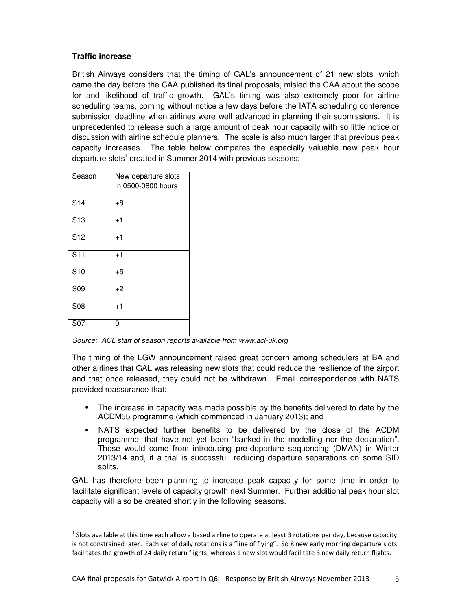## **Traffic increase**

British Airways considers that the timing of GAL's announcement of 21 new slots, which came the day before the CAA published its final proposals, misled the CAA about the scope for and likelihood of traffic growth. GAL's timing was also extremely poor for airline scheduling teams, coming without notice a few days before the IATA scheduling conference submission deadline when airlines were well advanced in planning their submissions. It is unprecedented to release such a large amount of peak hour capacity with so little notice or discussion with airline schedule planners. The scale is also much larger that previous peak capacity increases. The table below compares the especially valuable new peak hour departure slots<sup>1</sup> created in Summer 2014 with previous seasons:

| Season           | New departure slots<br>in 0500-0800 hours |
|------------------|-------------------------------------------|
| $\overline{S14}$ | $+8$                                      |
| $\overline{S13}$ | $+1$                                      |
| S <sub>12</sub>  | $+1$                                      |
| S <sub>11</sub>  | $+1$                                      |
| $\overline{S10}$ | $+5$                                      |
| S <sub>09</sub>  | $+2$                                      |
| S08              | $+1$                                      |
| S <sub>07</sub>  | 0                                         |

-

Source: ACL start of season reports available from www.acl-uk.org

The timing of the LGW announcement raised great concern among schedulers at BA and other airlines that GAL was releasing new slots that could reduce the resilience of the airport and that once released, they could not be withdrawn. Email correspondence with NATS provided reassurance that:

- The increase in capacity was made possible by the benefits delivered to date by the ACDM55 programme (which commenced in January 2013); and
- NATS expected further benefits to be delivered by the close of the ACDM programme, that have not yet been "banked in the modelling nor the declaration". These would come from introducing pre-departure sequencing (DMAN) in Winter 2013/14 and, if a trial is successful, reducing departure separations on some SID splits.

GAL has therefore been planning to increase peak capacity for some time in order to facilitate significant levels of capacity growth next Summer. Further additional peak hour slot capacity will also be created shortly in the following seasons.

 $<sup>1</sup>$  Slots available at this time each allow a based airline to operate at least 3 rotations per day, because capacity</sup> is not constrained later. Each set of daily rotations is a "line of flying". So 8 new early morning departure slots facilitates the growth of 24 daily return flights, whereas 1 new slot would facilitate 3 new daily return flights.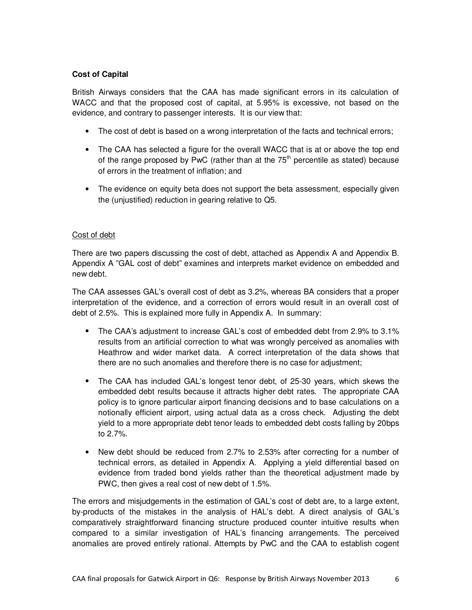## **Cost of Capital**

British Airways considers that the CAA has made significant errors in its calculation of WACC and that the proposed cost of capital, at 5.95% is excessive, not based on the evidence, and contrary to passenger interests. It is our view that:

- The cost of debt is based on a wrong interpretation of the facts and technical errors;
- The CAA has selected a figure for the overall WACC that is at or above the top end of the range proposed by PwC (rather than at the  $75<sup>th</sup>$  percentile as stated) because of errors in the treatment of inflation; and
- The evidence on equity beta does not support the beta assessment, especially given the (unjustified) reduction in gearing relative to Q5.

## Cost of debt

There are two papers discussing the cost of debt, attached as Appendix A and Appendix B. Appendix A "GAL cost of debt" examines and interprets market evidence on embedded and new debt.

The CAA assesses GAL's overall cost of debt as 3.2%, whereas BA considers that a proper interpretation of the evidence, and a correction of errors would result in an overall cost of debt of 2.5%. This is explained more fully in Appendix A. In summary:

- The CAA's adjustment to increase GAL's cost of embedded debt from 2.9% to 3.1% results from an artificial correction to what was wrongly perceived as anomalies with Heathrow and wider market data. A correct interpretation of the data shows that there are no such anomalies and therefore there is no case for adjustment;
- The CAA has included GAL's longest tenor debt, of 25-30 years, which skews the embedded debt results because it attracts higher debt rates. The appropriate CAA policy is to ignore particular airport financing decisions and to base calculations on a notionally efficient airport, using actual data as a cross check. Adjusting the debt yield to a more appropriate debt tenor leads to embedded debt costs falling by 20bps to 2.7%.
- New debt should be reduced from 2.7% to 2.53% after correcting for a number of technical errors, as detailed in Appendix A. Applying a yield differential based on evidence from traded bond yields rather than the theoretical adjustment made by PWC, then gives a real cost of new debt of 1.5%.

The errors and misjudgements in the estimation of GAL's cost of debt are, to a large extent, by-products of the mistakes in the analysis of HAL's debt. A direct analysis of GAL's comparatively straightforward financing structure produced counter intuitive results when compared to a similar investigation of HAL's financing arrangements. The perceived anomalies are proved entirely rational. Attempts by PwC and the CAA to establish cogent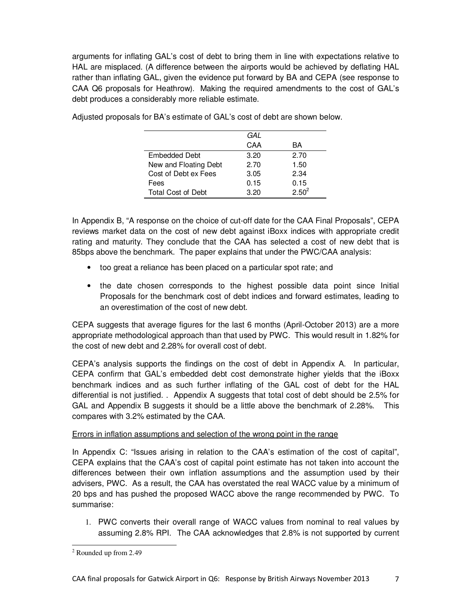arguments for inflating GAL's cost of debt to bring them in line with expectations relative to HAL are misplaced. (A difference between the airports would be achieved by deflating HAL rather than inflating GAL, given the evidence put forward by BA and CEPA (see response to CAA Q6 proposals for Heathrow). Making the required amendments to the cost of GAL's debt produces a considerably more reliable estimate.

|                           | GAL  |            |
|---------------------------|------|------------|
|                           | CAA  | ВA         |
| <b>Embedded Debt</b>      | 3.20 | 2.70       |
| New and Floating Debt     | 2.70 | 1.50       |
| Cost of Debt ex Fees      | 3.05 | 2.34       |
| Fees                      | 0.15 | 0.15       |
| <b>Total Cost of Debt</b> | 3.20 | $2.50^{2}$ |

Adjusted proposals for BA's estimate of GAL's cost of debt are shown below.

In Appendix B, "A response on the choice of cut-off date for the CAA Final Proposals", CEPA reviews market data on the cost of new debt against iBoxx indices with appropriate credit rating and maturity. They conclude that the CAA has selected a cost of new debt that is 85bps above the benchmark. The paper explains that under the PWC/CAA analysis:

- too great a reliance has been placed on a particular spot rate; and
- the date chosen corresponds to the highest possible data point since Initial Proposals for the benchmark cost of debt indices and forward estimates, leading to an overestimation of the cost of new debt.

CEPA suggests that average figures for the last 6 months (April-October 2013) are a more appropriate methodological approach than that used by PWC. This would result in 1.82% for the cost of new debt and 2.28% for overall cost of debt.

CEPA's analysis supports the findings on the cost of debt in Appendix A. In particular, CEPA confirm that GAL's embedded debt cost demonstrate higher yields that the iBoxx benchmark indices and as such further inflating of the GAL cost of debt for the HAL differential is not justified. . Appendix A suggests that total cost of debt should be 2.5% for GAL and Appendix B suggests it should be a little above the benchmark of 2.28%. This compares with 3.2% estimated by the CAA.

## Errors in inflation assumptions and selection of the wrong point in the range

In Appendix C: "Issues arising in relation to the CAA's estimation of the cost of capital", CEPA explains that the CAA's cost of capital point estimate has not taken into account the differences between their own inflation assumptions and the assumption used by their advisers, PWC. As a result, the CAA has overstated the real WACC value by a minimum of 20 bps and has pushed the proposed WACC above the range recommended by PWC. To summarise:

1. PWC converts their overall range of WACC values from nominal to real values by assuming 2.8% RPI. The CAA acknowledges that 2.8% is not supported by current

 2 Rounded up from 2.49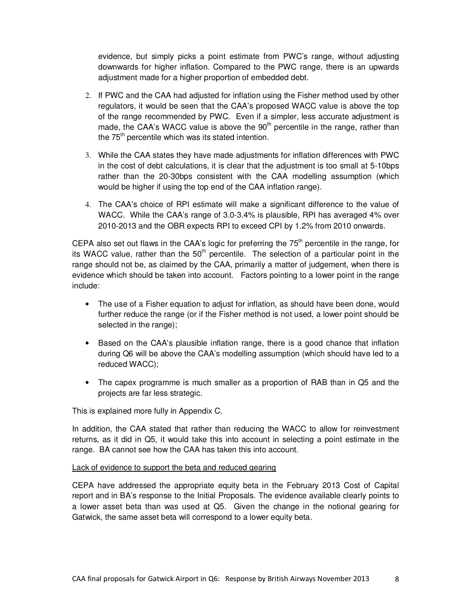evidence, but simply picks a point estimate from PWC's range, without adjusting downwards for higher inflation. Compared to the PWC range, there is an upwards adjustment made for a higher proportion of embedded debt.

- 2. If PWC and the CAA had adjusted for inflation using the Fisher method used by other regulators, it would be seen that the CAA's proposed WACC value is above the top of the range recommended by PWC. Even if a simpler, less accurate adjustment is made, the CAA's WACC value is above the  $90<sup>th</sup>$  percentile in the range, rather than the 75<sup>th</sup> percentile which was its stated intention.
- 3. While the CAA states they have made adjustments for inflation differences with PWC in the cost of debt calculations, it is clear that the adjustment is too small at 5-10bps rather than the 20-30bps consistent with the CAA modelling assumption (which would be higher if using the top end of the CAA inflation range).
- 4. The CAA's choice of RPI estimate will make a significant difference to the value of WACC. While the CAA's range of 3.0-3.4% is plausible, RPI has averaged 4% over 2010-2013 and the OBR expects RPI to exceed CPI by 1.2% from 2010 onwards.

CEPA also set out flaws in the CAA's logic for preferring the 75<sup>th</sup> percentile in the range, for its WACC value, rather than the  $50<sup>th</sup>$  percentile. The selection of a particular point in the range should not be, as claimed by the CAA, primarily a matter of judgement, when there is evidence which should be taken into account. Factors pointing to a lower point in the range include:

- The use of a Fisher equation to adjust for inflation, as should have been done, would further reduce the range (or if the Fisher method is not used, a lower point should be selected in the range);
- Based on the CAA's plausible inflation range, there is a good chance that inflation during Q6 will be above the CAA's modelling assumption (which should have led to a reduced WACC);
- The capex programme is much smaller as a proportion of RAB than in Q5 and the projects are far less strategic.

This is explained more fully in Appendix C.

In addition, the CAA stated that rather than reducing the WACC to allow for reinvestment returns, as it did in Q5, it would take this into account in selecting a point estimate in the range. BA cannot see how the CAA has taken this into account.

## Lack of evidence to support the beta and reduced gearing

CEPA have addressed the appropriate equity beta in the February 2013 Cost of Capital report and in BA's response to the Initial Proposals. The evidence available clearly points to a lower asset beta than was used at Q5. Given the change in the notional gearing for Gatwick, the same asset beta will correspond to a lower equity beta.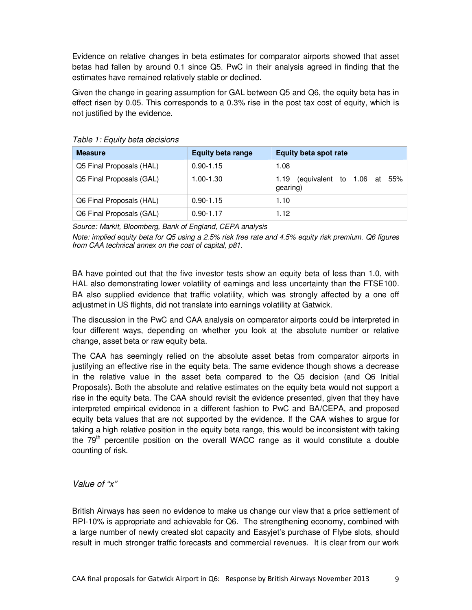Evidence on relative changes in beta estimates for comparator airports showed that asset betas had fallen by around 0.1 since Q5. PwC in their analysis agreed in finding that the estimates have remained relatively stable or declined.

Given the change in gearing assumption for GAL between Q5 and Q6, the equity beta has in effect risen by 0.05. This corresponds to a 0.3% rise in the post tax cost of equity, which is not justified by the evidence.

| <b>Measure</b>           | <b>Equity beta range</b> | <b>Equity beta spot rate</b>                   |  |  |
|--------------------------|--------------------------|------------------------------------------------|--|--|
| Q5 Final Proposals (HAL) | $0.90 - 1.15$            | 1.08                                           |  |  |
| Q5 Final Proposals (GAL) | 1.00-1.30                | (equivalent to 1.06 at 55%<br>1.19<br>gearing) |  |  |
| Q6 Final Proposals (HAL) | $0.90 - 1.15$            | 1.10                                           |  |  |
| Q6 Final Proposals (GAL) | $0.90 - 1.17$            | 1.12                                           |  |  |

Table 1: Equity beta decisions

Source: Markit, Bloomberg, Bank of England, CEPA analysis

Note: implied equity beta for Q5 using a 2.5% risk free rate and 4.5% equity risk premium. Q6 figures from CAA technical annex on the cost of capital, p81.

BA have pointed out that the five investor tests show an equity beta of less than 1.0, with HAL also demonstrating lower volatility of earnings and less uncertainty than the FTSE100. BA also supplied evidence that traffic volatility, which was strongly affected by a one off adjustmet in US flights, did not translate into earnings volatility at Gatwick.

The discussion in the PwC and CAA analysis on comparator airports could be interpreted in four different ways, depending on whether you look at the absolute number or relative change, asset beta or raw equity beta.

The CAA has seemingly relied on the absolute asset betas from comparator airports in justifying an effective rise in the equity beta. The same evidence though shows a decrease in the relative value in the asset beta compared to the Q5 decision (and Q6 Initial Proposals). Both the absolute and relative estimates on the equity beta would not support a rise in the equity beta. The CAA should revisit the evidence presented, given that they have interpreted empirical evidence in a different fashion to PwC and BA/CEPA, and proposed equity beta values that are not supported by the evidence. If the CAA wishes to argue for taking a high relative position in the equity beta range, this would be inconsistent with taking the  $79<sup>th</sup>$  percentile position on the overall WACC range as it would constitute a double counting of risk.

Value of "x"

British Airways has seen no evidence to make us change our view that a price settlement of RPI-10% is appropriate and achievable for Q6. The strengthening economy, combined with a large number of newly created slot capacity and Easyjet's purchase of Flybe slots, should result in much stronger traffic forecasts and commercial revenues. It is clear from our work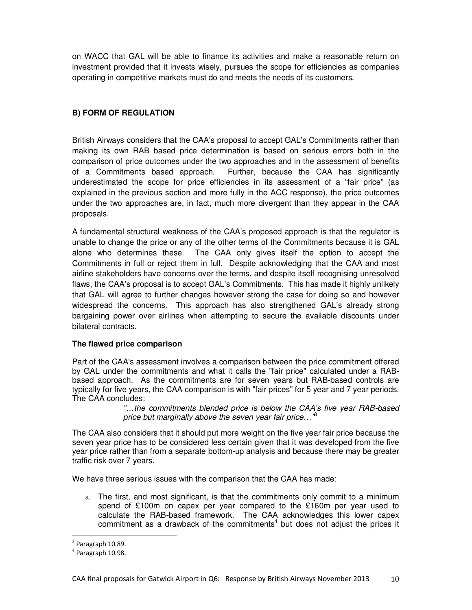on WACC that GAL will be able to finance its activities and make a reasonable return on investment provided that it invests wisely, pursues the scope for efficiencies as companies operating in competitive markets must do and meets the needs of its customers.

## **B) FORM OF REGULATION**

British Airways considers that the CAA's proposal to accept GAL's Commitments rather than making its own RAB based price determination is based on serious errors both in the comparison of price outcomes under the two approaches and in the assessment of benefits of a Commitments based approach. Further, because the CAA has significantly underestimated the scope for price efficiencies in its assessment of a "fair price" (as explained in the previous section and more fully in the ACC response), the price outcomes under the two approaches are, in fact, much more divergent than they appear in the CAA proposals.

A fundamental structural weakness of the CAA's proposed approach is that the regulator is unable to change the price or any of the other terms of the Commitments because it is GAL alone who determines these. The CAA only gives itself the option to accept the Commitments in full or reject them in full. Despite acknowledging that the CAA and most airline stakeholders have concerns over the terms, and despite itself recognising unresolved flaws, the CAA's proposal is to accept GAL's Commitments. This has made it highly unlikely that GAL will agree to further changes however strong the case for doing so and however widespread the concerns. This approach has also strengthened GAL's already strong bargaining power over airlines when attempting to secure the available discounts under bilateral contracts.

## **The flawed price comparison**

Part of the CAA's assessment involves a comparison between the price commitment offered by GAL under the commitments and what it calls the "fair price" calculated under a RABbased approach. As the commitments are for seven years but RAB-based controls are typically for five years, the CAA comparison is with "fair prices" for 5 year and 7 year periods. The CAA concludes:

> "…the commitments blended price is below the CAA's five year RAB-based price but marginally above the seven year fair price...<sup>"3</sup>

The CAA also considers that it should put more weight on the five year fair price because the seven year price has to be considered less certain given that it was developed from the five year price rather than from a separate bottom-up analysis and because there may be greater traffic risk over 7 years.

We have three serious issues with the comparison that the CAA has made:

a. The first, and most significant, is that the commitments only commit to a minimum spend of £100m on capex per year compared to the £160m per year used to calculate the RAB-based framework. The CAA acknowledges this lower capex commitment as a drawback of the commitments<sup>4</sup> but does not adjust the prices it

-

 $3$  Paragraph 10.89.

 $<sup>4</sup>$  Paragraph 10.98.</sup>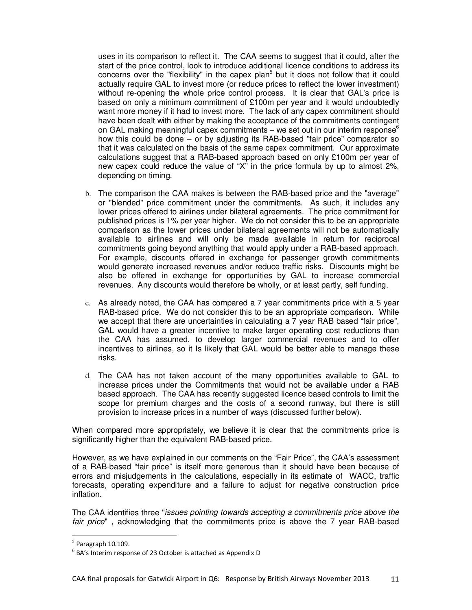uses in its comparison to reflect it. The CAA seems to suggest that it could, after the start of the price control, look to introduce additional licence conditions to address its concerns over the "flexibility" in the capex plan<sup>5</sup> but it does not follow that it could actually require GAL to invest more (or reduce prices to reflect the lower investment) without re-opening the whole price control process. It is clear that GAL's price is based on only a minimum commitment of £100m per year and it would undoubtedly want more money if it had to invest more. The lack of any capex commitment should have been dealt with either by making the acceptance of the commitments contingent on GAL making meaningful capex commitments – we set out in our interim response<sup>6</sup> how this could be done – or by adjusting its RAB-based "fair price" comparator so that it was calculated on the basis of the same capex commitment. Our approximate calculations suggest that a RAB-based approach based on only £100m per year of new capex could reduce the value of "X" in the price formula by up to almost 2%, depending on timing.

- b. The comparison the CAA makes is between the RAB-based price and the "average" or "blended" price commitment under the commitments. As such, it includes any lower prices offered to airlines under bilateral agreements. The price commitment for published prices is 1% per year higher. We do not consider this to be an appropriate comparison as the lower prices under bilateral agreements will not be automatically available to airlines and will only be made available in return for reciprocal commitments going beyond anything that would apply under a RAB-based approach. For example, discounts offered in exchange for passenger growth commitments would generate increased revenues and/or reduce traffic risks. Discounts might be also be offered in exchange for opportunities by GAL to increase commercial revenues. Any discounts would therefore be wholly, or at least partly, self funding.
- c. As already noted, the CAA has compared a 7 year commitments price with a 5 year RAB-based price. We do not consider this to be an appropriate comparison. While we accept that there are uncertainties in calculating a 7 year RAB based "fair price", GAL would have a greater incentive to make larger operating cost reductions than the CAA has assumed, to develop larger commercial revenues and to offer incentives to airlines, so it Is likely that GAL would be better able to manage these risks.
- d. The CAA has not taken account of the many opportunities available to GAL to increase prices under the Commitments that would not be available under a RAB based approach. The CAA has recently suggested licence based controls to limit the scope for premium charges and the costs of a second runway, but there is still provision to increase prices in a number of ways (discussed further below).

When compared more appropriately, we believe it is clear that the commitments price is significantly higher than the equivalent RAB-based price.

However, as we have explained in our comments on the "Fair Price", the CAA's assessment of a RAB-based "fair price" is itself more generous than it should have been because of errors and misjudgements in the calculations, especially in its estimate of WACC, traffic forecasts, operating expenditure and a failure to adjust for negative construction price inflation.

The CAA identifies three "issues pointing towards accepting a commitments price above the fair price" , acknowledging that the commitments price is above the 7 year RAB-based

-

 $<sup>5</sup>$  Paragraph 10.109.</sup>

 $^6$  BA's Interim response of 23 October is attached as Appendix D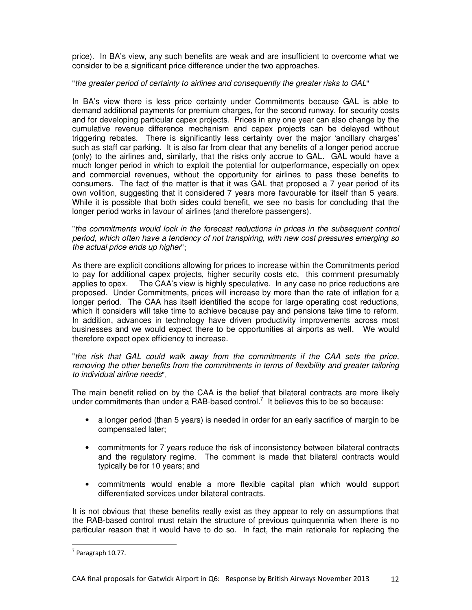price). In BA's view, any such benefits are weak and are insufficient to overcome what we consider to be a significant price difference under the two approaches.

#### "the greater period of certainty to airlines and consequently the greater risks to GAL"

In BA's view there is less price certainty under Commitments because GAL is able to demand additional payments for premium charges, for the second runway, for security costs and for developing particular capex projects. Prices in any one year can also change by the cumulative revenue difference mechanism and capex projects can be delayed without triggering rebates. There is significantly less certainty over the major 'ancillary charges' such as staff car parking. It is also far from clear that any benefits of a longer period accrue (only) to the airlines and, similarly, that the risks only accrue to GAL. GAL would have a much longer period in which to exploit the potential for outperformance, especially on opex and commercial revenues, without the opportunity for airlines to pass these benefits to consumers. The fact of the matter is that it was GAL that proposed a 7 year period of its own volition, suggesting that it considered 7 years more favourable for itself than 5 years. While it is possible that both sides could benefit, we see no basis for concluding that the longer period works in favour of airlines (and therefore passengers).

"the commitments would lock in the forecast reductions in prices in the subsequent control period, which often have a tendency of not transpiring, with new cost pressures emerging so the actual price ends up higher";

As there are explicit conditions allowing for prices to increase within the Commitments period to pay for additional capex projects, higher security costs etc, this comment presumably applies to opex. The CAA's view is highly speculative. In any case no price reductions are proposed. Under Commitments, prices will increase by more than the rate of inflation for a longer period. The CAA has itself identified the scope for large operating cost reductions, which it considers will take time to achieve because pay and pensions take time to reform. In addition, advances in technology have driven productivity improvements across most businesses and we would expect there to be opportunities at airports as well. We would therefore expect opex efficiency to increase.

"the risk that GAL could walk away from the commitments if the CAA sets the price, removing the other benefits from the commitments in terms of flexibility and greater tailoring to individual airline needs".

The main benefit relied on by the CAA is the belief that bilateral contracts are more likely under commitments than under a RAB-based control.<sup>7</sup> It believes this to be so because:

- a longer period (than 5 years) is needed in order for an early sacrifice of margin to be compensated later;
- commitments for 7 years reduce the risk of inconsistency between bilateral contracts and the regulatory regime. The comment is made that bilateral contracts would typically be for 10 years; and
- commitments would enable a more flexible capital plan which would support differentiated services under bilateral contracts.

It is not obvious that these benefits really exist as they appear to rely on assumptions that the RAB-based control must retain the structure of previous quinquennia when there is no particular reason that it would have to do so. In fact, the main rationale for replacing the

-

 $<sup>7</sup>$  Paragraph 10.77.</sup>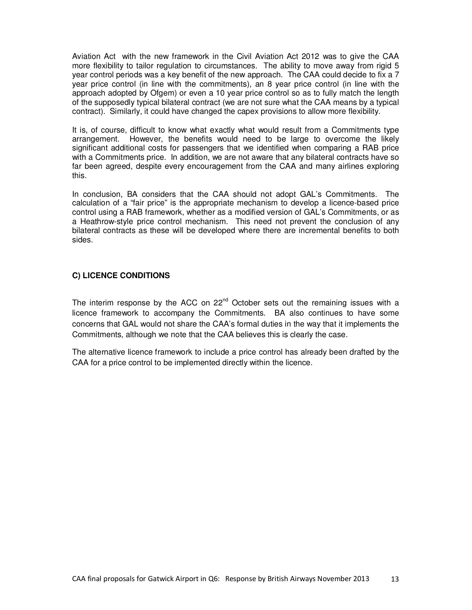Aviation Act with the new framework in the Civil Aviation Act 2012 was to give the CAA more flexibility to tailor regulation to circumstances. The ability to move away from rigid 5 year control periods was a key benefit of the new approach. The CAA could decide to fix a 7 year price control (in line with the commitments), an 8 year price control (in line with the approach adopted by Ofgem) or even a 10 year price control so as to fully match the length of the supposedly typical bilateral contract (we are not sure what the CAA means by a typical contract). Similarly, it could have changed the capex provisions to allow more flexibility.

It is, of course, difficult to know what exactly what would result from a Commitments type arrangement. However, the benefits would need to be large to overcome the likely significant additional costs for passengers that we identified when comparing a RAB price with a Commitments price. In addition, we are not aware that any bilateral contracts have so far been agreed, despite every encouragement from the CAA and many airlines exploring this.

In conclusion, BA considers that the CAA should not adopt GAL's Commitments. The calculation of a "fair price" is the appropriate mechanism to develop a licence-based price control using a RAB framework, whether as a modified version of GAL's Commitments, or as a Heathrow-style price control mechanism. This need not prevent the conclusion of any bilateral contracts as these will be developed where there are incremental benefits to both sides.

## **C) LICENCE CONDITIONS**

The interim response by the ACC on  $22^{nd}$  October sets out the remaining issues with a licence framework to accompany the Commitments. BA also continues to have some concerns that GAL would not share the CAA's formal duties in the way that it implements the Commitments, although we note that the CAA believes this is clearly the case.

The alternative licence framework to include a price control has already been drafted by the CAA for a price control to be implemented directly within the licence.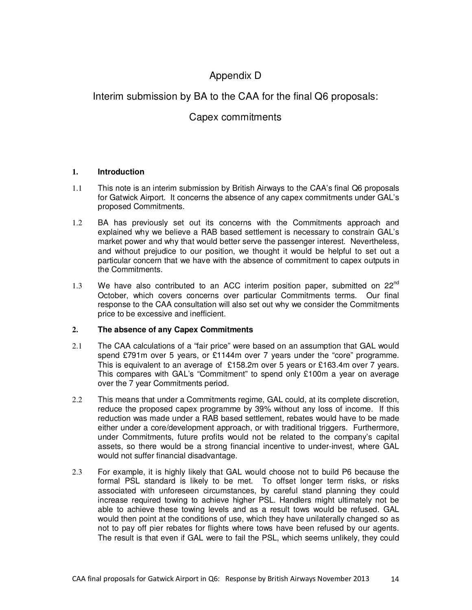# Appendix D

## Interim submission by BA to the CAA for the final Q6 proposals:

# Capex commitments

## **1. Introduction**

- 1.1 This note is an interim submission by British Airways to the CAA's final Q6 proposals for Gatwick Airport. It concerns the absence of any capex commitments under GAL's proposed Commitments.
- 1.2 BA has previously set out its concerns with the Commitments approach and explained why we believe a RAB based settlement is necessary to constrain GAL's market power and why that would better serve the passenger interest. Nevertheless, and without prejudice to our position, we thought it would be helpful to set out a particular concern that we have with the absence of commitment to capex outputs in the Commitments.
- 1.3 We have also contributed to an ACC interim position paper, submitted on  $22^{nd}$ October, which covers concerns over particular Commitments terms. Our final response to the CAA consultation will also set out why we consider the Commitments price to be excessive and inefficient.

## **2. The absence of any Capex Commitments**

- 2.1 The CAA calculations of a "fair price" were based on an assumption that GAL would spend £791m over 5 years, or £1144m over 7 years under the "core" programme. This is equivalent to an average of £158.2m over 5 years or £163.4m over 7 years. This compares with GAL's "Commitment" to spend only £100m a year on average over the 7 year Commitments period.
- 2.2 This means that under a Commitments regime, GAL could, at its complete discretion, reduce the proposed capex programme by 39% without any loss of income. If this reduction was made under a RAB based settlement, rebates would have to be made either under a core/development approach, or with traditional triggers. Furthermore, under Commitments, future profits would not be related to the company's capital assets, so there would be a strong financial incentive to under-invest, where GAL would not suffer financial disadvantage.
- 2.3 For example, it is highly likely that GAL would choose not to build P6 because the formal PSL standard is likely to be met. To offset longer term risks, or risks associated with unforeseen circumstances, by careful stand planning they could increase required towing to achieve higher PSL. Handlers might ultimately not be able to achieve these towing levels and as a result tows would be refused. GAL would then point at the conditions of use, which they have unilaterally changed so as not to pay off pier rebates for flights where tows have been refused by our agents. The result is that even if GAL were to fail the PSL, which seems unlikely, they could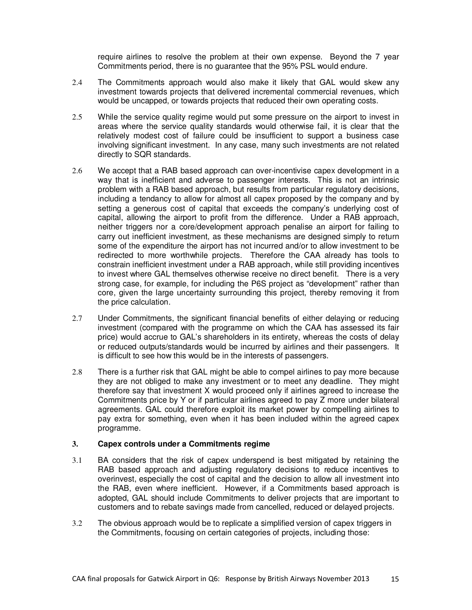require airlines to resolve the problem at their own expense. Beyond the 7 year Commitments period, there is no guarantee that the 95% PSL would endure.

- 2.4 The Commitments approach would also make it likely that GAL would skew any investment towards projects that delivered incremental commercial revenues, which would be uncapped, or towards projects that reduced their own operating costs.
- 2.5 While the service quality regime would put some pressure on the airport to invest in areas where the service quality standards would otherwise fail, it is clear that the relatively modest cost of failure could be insufficient to support a business case involving significant investment. In any case, many such investments are not related directly to SQR standards.
- 2.6 We accept that a RAB based approach can over-incentivise capex development in a way that is inefficient and adverse to passenger interests. This is not an intrinsic problem with a RAB based approach, but results from particular regulatory decisions, including a tendancy to allow for almost all capex proposed by the company and by setting a generous cost of capital that exceeds the company's underlying cost of capital, allowing the airport to profit from the difference. Under a RAB approach, neither triggers nor a core/development approach penalise an airport for failing to carry out inefficient investment, as these mechanisms are designed simply to return some of the expenditure the airport has not incurred and/or to allow investment to be redirected to more worthwhile projects. Therefore the CAA already has tools to constrain inefficient investment under a RAB approach, while still providing incentives to invest where GAL themselves otherwise receive no direct benefit. There is a very strong case, for example, for including the P6S project as "development" rather than core, given the large uncertainty surrounding this project, thereby removing it from the price calculation.
- 2.7 Under Commitments, the significant financial benefits of either delaying or reducing investment (compared with the programme on which the CAA has assessed its fair price) would accrue to GAL's shareholders in its entirety, whereas the costs of delay or reduced outputs/standards would be incurred by airlines and their passengers. It is difficult to see how this would be in the interests of passengers.
- 2.8 There is a further risk that GAL might be able to compel airlines to pay more because they are not obliged to make any investment or to meet any deadline. They might therefore say that investment X would proceed only if airlines agreed to increase the Commitments price by Y or if particular airlines agreed to pay Z more under bilateral agreements. GAL could therefore exploit its market power by compelling airlines to pay extra for something, even when it has been included within the agreed capex programme.

#### **3. Capex controls under a Commitments regime**

- 3.1 BA considers that the risk of capex underspend is best mitigated by retaining the RAB based approach and adjusting regulatory decisions to reduce incentives to overinvest, especially the cost of capital and the decision to allow all investment into the RAB, even where inefficient. However, if a Commitments based approach is adopted, GAL should include Commitments to deliver projects that are important to customers and to rebate savings made from cancelled, reduced or delayed projects.
- 3.2 The obvious approach would be to replicate a simplified version of capex triggers in the Commitments, focusing on certain categories of projects, including those: